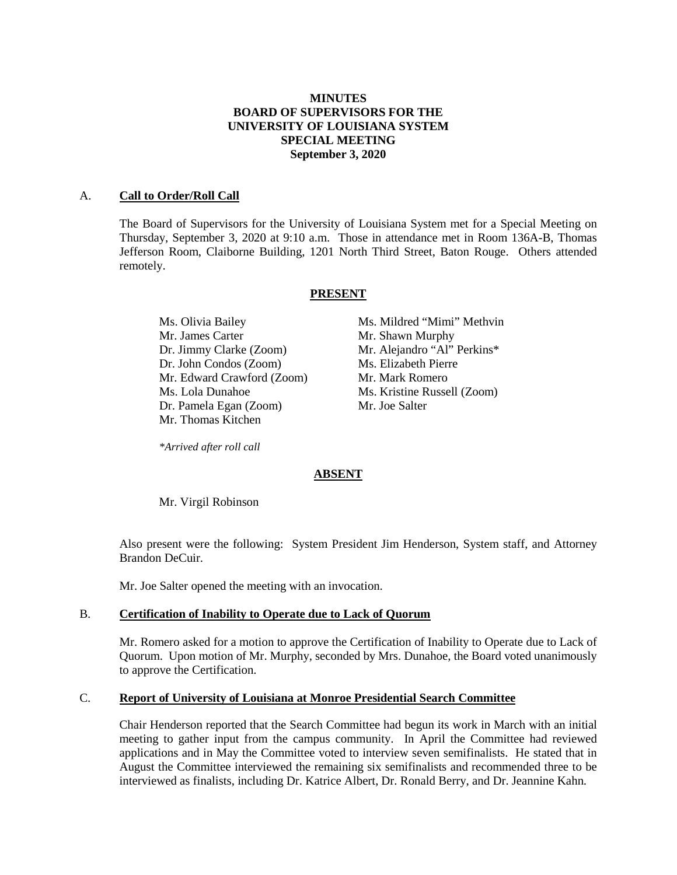# **MINUTES BOARD OF SUPERVISORS FOR THE UNIVERSITY OF LOUISIANA SYSTEM SPECIAL MEETING September 3, 2020**

#### A. **Call to Order/Roll Call**

The Board of Supervisors for the University of Louisiana System met for a Special Meeting on Thursday, September 3, 2020 at 9:10 a.m. Those in attendance met in Room 136A-B, Thomas Jefferson Room, Claiborne Building, 1201 North Third Street, Baton Rouge. Others attended remotely.

#### **PRESENT**

Mr. James Carter Mr. Shawn Murphy Dr. Jimmy Clarke (Zoom) Mr. Alejandro "Al" Perkins\* Dr. John Condos (Zoom) Ms. Elizabeth Pierre Mr. Edward Crawford (Zoom) Mr. Mark Romero Ms. Lola Dunahoe Ms. Kristine Russell (Zoom) Dr. Pamela Egan (Zoom) Mr. Joe Salter Mr. Thomas Kitchen

Ms. Olivia Bailey Ms. Mildred "Mimi" Methvin

*\*Arrived after roll call*

# **ABSENT**

Mr. Virgil Robinson

Also present were the following: System President Jim Henderson, System staff, and Attorney Brandon DeCuir.

Mr. Joe Salter opened the meeting with an invocation.

# B. **Certification of Inability to Operate due to Lack of Quorum**

Mr. Romero asked for a motion to approve the Certification of Inability to Operate due to Lack of Quorum. Upon motion of Mr. Murphy, seconded by Mrs. Dunahoe, the Board voted unanimously to approve the Certification.

#### C. **Report of University of Louisiana at Monroe Presidential Search Committee**

Chair Henderson reported that the Search Committee had begun its work in March with an initial meeting to gather input from the campus community. In April the Committee had reviewed applications and in May the Committee voted to interview seven semifinalists. He stated that in August the Committee interviewed the remaining six semifinalists and recommended three to be interviewed as finalists, including Dr. Katrice Albert, Dr. Ronald Berry, and Dr. Jeannine Kahn.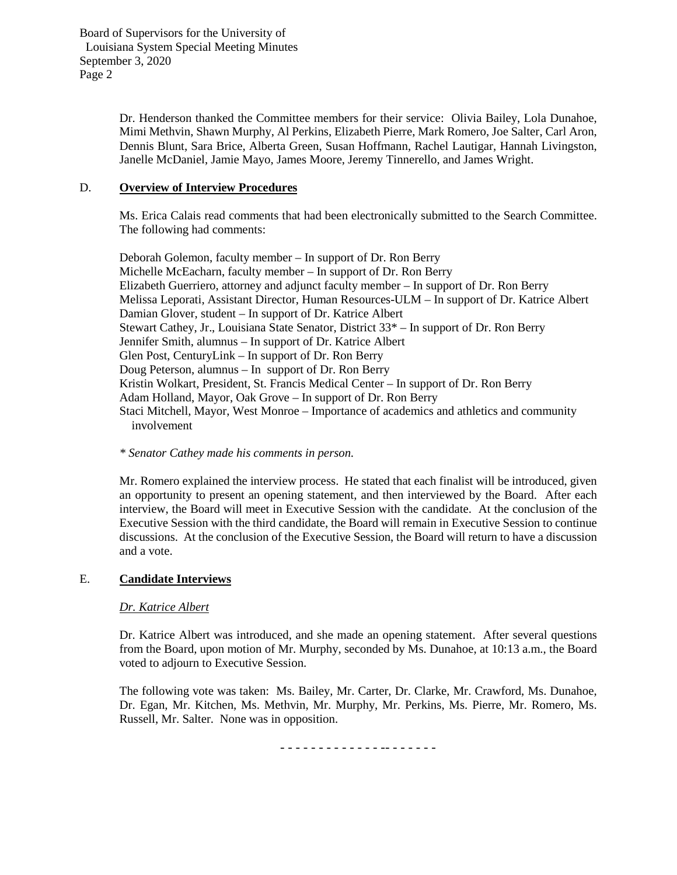Board of Supervisors for the University of Louisiana System Special Meeting Minutes September 3, 2020 Page 2

> Dr. Henderson thanked the Committee members for their service: Olivia Bailey, Lola Dunahoe, Mimi Methvin, Shawn Murphy, Al Perkins, Elizabeth Pierre, Mark Romero, Joe Salter, Carl Aron, Dennis Blunt, Sara Brice, Alberta Green, Susan Hoffmann, Rachel Lautigar, Hannah Livingston, Janelle McDaniel, Jamie Mayo, James Moore, Jeremy Tinnerello, and James Wright.

# D. **Overview of Interview Procedures**

Ms. Erica Calais read comments that had been electronically submitted to the Search Committee. The following had comments:

Deborah Golemon, faculty member – In support of Dr. Ron Berry Michelle McEacharn, faculty member – In support of Dr. Ron Berry Elizabeth Guerriero, attorney and adjunct faculty member – In support of Dr. Ron Berry Melissa Leporati, Assistant Director, Human Resources-ULM – In support of Dr. Katrice Albert Damian Glover, student – In support of Dr. Katrice Albert Stewart Cathey, Jr., Louisiana State Senator, District 33\* – In support of Dr. Ron Berry Jennifer Smith, alumnus – In support of Dr. Katrice Albert Glen Post, CenturyLink – In support of Dr. Ron Berry Doug Peterson, alumnus – In support of Dr. Ron Berry Kristin Wolkart, President, St. Francis Medical Center – In support of Dr. Ron Berry Adam Holland, Mayor, Oak Grove – In support of Dr. Ron Berry Staci Mitchell, Mayor, West Monroe – Importance of academics and athletics and community involvement

# *\* Senator Cathey made his comments in person.*

Mr. Romero explained the interview process. He stated that each finalist will be introduced, given an opportunity to present an opening statement, and then interviewed by the Board. After each interview, the Board will meet in Executive Session with the candidate. At the conclusion of the Executive Session with the third candidate, the Board will remain in Executive Session to continue discussions. At the conclusion of the Executive Session, the Board will return to have a discussion and a vote.

# E. **Candidate Interviews**

# *Dr. Katrice Albert*

Dr. Katrice Albert was introduced, and she made an opening statement. After several questions from the Board, upon motion of Mr. Murphy, seconded by Ms. Dunahoe, at 10:13 a.m., the Board voted to adjourn to Executive Session.

The following vote was taken: Ms. Bailey, Mr. Carter, Dr. Clarke, Mr. Crawford, Ms. Dunahoe, Dr. Egan, Mr. Kitchen, Ms. Methvin, Mr. Murphy, Mr. Perkins, Ms. Pierre, Mr. Romero, Ms. Russell, Mr. Salter. None was in opposition.

- - - - - - - - - - - - - -- - - - - - -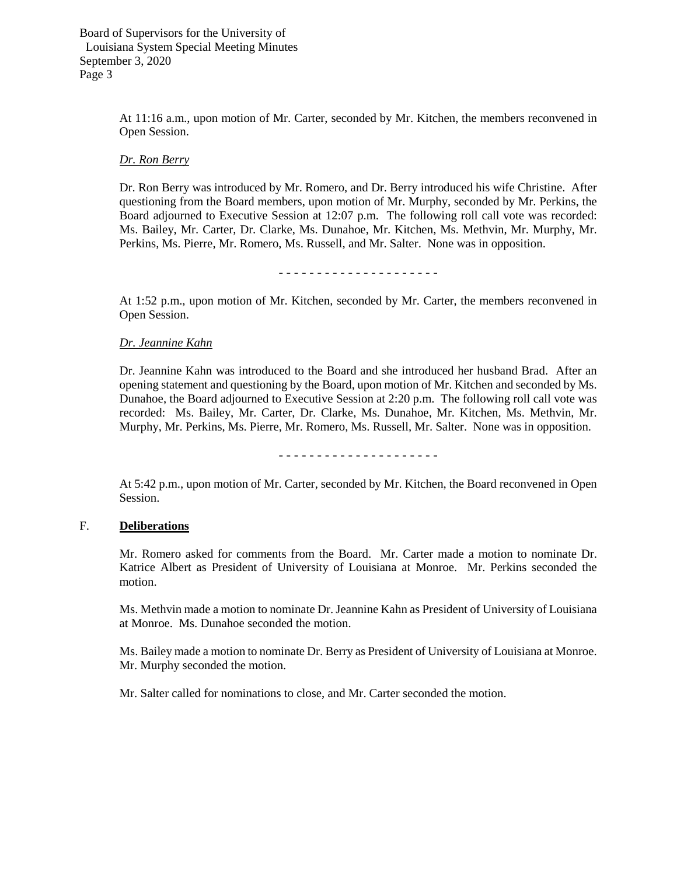Board of Supervisors for the University of Louisiana System Special Meeting Minutes September 3, 2020 Page 3

> At 11:16 a.m., upon motion of Mr. Carter, seconded by Mr. Kitchen, the members reconvened in Open Session.

#### *Dr. Ron Berry*

Dr. Ron Berry was introduced by Mr. Romero, and Dr. Berry introduced his wife Christine. After questioning from the Board members, upon motion of Mr. Murphy, seconded by Mr. Perkins, the Board adjourned to Executive Session at 12:07 p.m. The following roll call vote was recorded: Ms. Bailey, Mr. Carter, Dr. Clarke, Ms. Dunahoe, Mr. Kitchen, Ms. Methvin, Mr. Murphy, Mr. Perkins, Ms. Pierre, Mr. Romero, Ms. Russell, and Mr. Salter. None was in opposition.

At 1:52 p.m., upon motion of Mr. Kitchen, seconded by Mr. Carter, the members reconvened in Open Session.

#### *Dr. Jeannine Kahn*

Dr. Jeannine Kahn was introduced to the Board and she introduced her husband Brad. After an opening statement and questioning by the Board, upon motion of Mr. Kitchen and seconded by Ms. Dunahoe, the Board adjourned to Executive Session at 2:20 p.m. The following roll call vote was recorded: Ms. Bailey, Mr. Carter, Dr. Clarke, Ms. Dunahoe, Mr. Kitchen, Ms. Methvin, Mr. Murphy, Mr. Perkins, Ms. Pierre, Mr. Romero, Ms. Russell, Mr. Salter. None was in opposition.

- - - - - - - - - - - - - - - - - - - - -

At 5:42 p.m., upon motion of Mr. Carter, seconded by Mr. Kitchen, the Board reconvened in Open Session.

# F. **Deliberations**

Mr. Romero asked for comments from the Board. Mr. Carter made a motion to nominate Dr. Katrice Albert as President of University of Louisiana at Monroe. Mr. Perkins seconded the motion.

Ms. Methvin made a motion to nominate Dr. Jeannine Kahn as President of University of Louisiana at Monroe. Ms. Dunahoe seconded the motion.

Ms. Bailey made a motion to nominate Dr. Berry as President of University of Louisiana at Monroe. Mr. Murphy seconded the motion.

Mr. Salter called for nominations to close, and Mr. Carter seconded the motion.